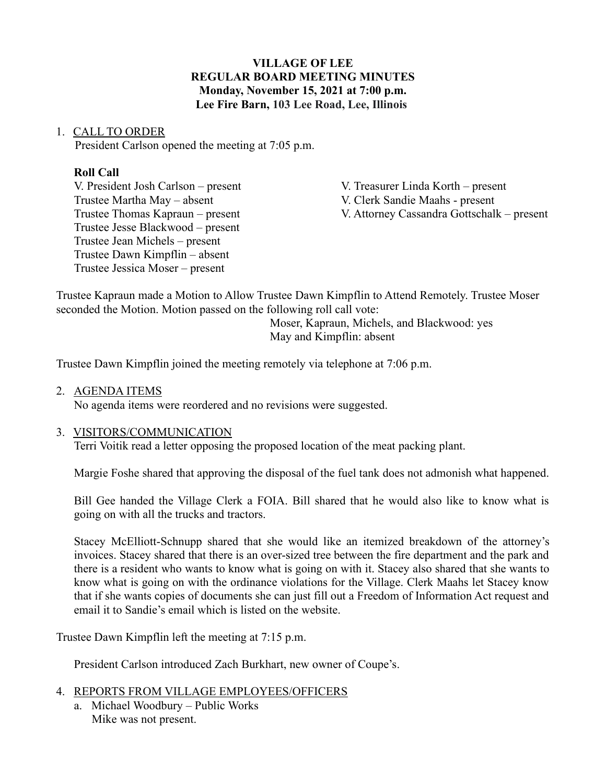### **VILLAGE OF LEE REGULAR BOARD MEETING MINUTES Monday, November 15, 2021 at 7:00 p.m. Lee Fire Barn, 103 Lee Road, Lee, Illinois**

#### 1. CALL TO ORDER

President Carlson opened the meeting at 7:05 p.m.

### **Roll Call**

V. President Josh Carlson – present V. Treasurer Linda Korth – present Trustee Martha May – absent V. Clerk Sandie Maahs - present Trustee Jesse Blackwood – present Trustee Jean Michels – present Trustee Dawn Kimpflin – absent Trustee Jessica Moser – present

Trustee Thomas Kapraun – present V. Attorney Cassandra Gottschalk – present

Trustee Kapraun made a Motion to Allow Trustee Dawn Kimpflin to Attend Remotely. Trustee Moser seconded the Motion. Motion passed on the following roll call vote:

Moser, Kapraun, Michels, and Blackwood: yes May and Kimpflin: absent

Trustee Dawn Kimpflin joined the meeting remotely via telephone at 7:06 p.m.

#### 2. AGENDA ITEMS

No agenda items were reordered and no revisions were suggested.

### 3. VISITORS/COMMUNICATION

Terri Voitik read a letter opposing the proposed location of the meat packing plant.

Margie Foshe shared that approving the disposal of the fuel tank does not admonish what happened.

Bill Gee handed the Village Clerk a FOIA. Bill shared that he would also like to know what is going on with all the trucks and tractors.

Stacey McElliott-Schnupp shared that she would like an itemized breakdown of the attorney's invoices. Stacey shared that there is an over-sized tree between the fire department and the park and there is a resident who wants to know what is going on with it. Stacey also shared that she wants to know what is going on with the ordinance violations for the Village. Clerk Maahs let Stacey know that if she wants copies of documents she can just fill out a Freedom of Information Act request and email it to Sandie's email which is listed on the website.

Trustee Dawn Kimpflin left the meeting at 7:15 p.m.

President Carlson introduced Zach Burkhart, new owner of Coupe's.

# 4. REPORTS FROM VILLAGE EMPLOYEES/OFFICERS

a. Michael Woodbury – Public Works Mike was not present.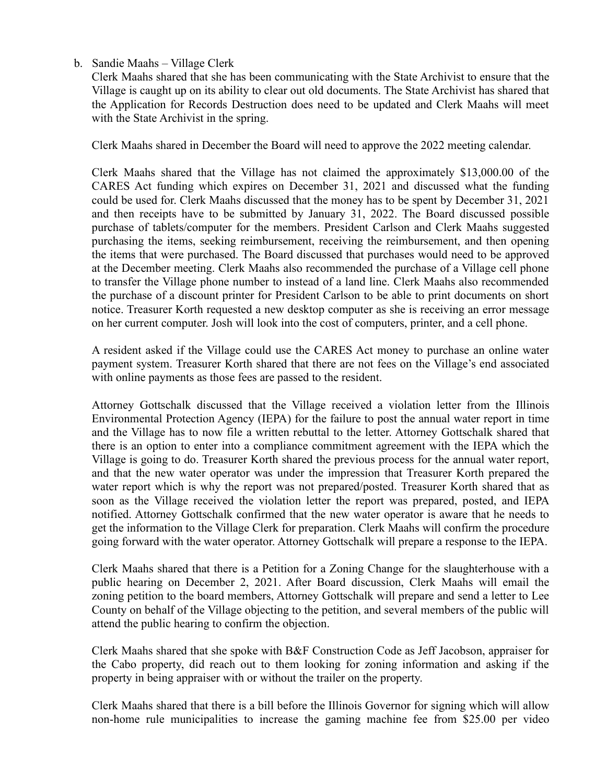b. Sandie Maahs – Village Clerk

Clerk Maahs shared that she has been communicating with the State Archivist to ensure that the Village is caught up on its ability to clear out old documents. The State Archivist has shared that the Application for Records Destruction does need to be updated and Clerk Maahs will meet with the State Archivist in the spring.

Clerk Maahs shared in December the Board will need to approve the 2022 meeting calendar.

Clerk Maahs shared that the Village has not claimed the approximately \$13,000.00 of the CARES Act funding which expires on December 31, 2021 and discussed what the funding could be used for. Clerk Maahs discussed that the money has to be spent by December 31, 2021 and then receipts have to be submitted by January 31, 2022. The Board discussed possible purchase of tablets/computer for the members. President Carlson and Clerk Maahs suggested purchasing the items, seeking reimbursement, receiving the reimbursement, and then opening the items that were purchased. The Board discussed that purchases would need to be approved at the December meeting. Clerk Maahs also recommended the purchase of a Village cell phone to transfer the Village phone number to instead of a land line. Clerk Maahs also recommended the purchase of a discount printer for President Carlson to be able to print documents on short notice. Treasurer Korth requested a new desktop computer as she is receiving an error message on her current computer. Josh will look into the cost of computers, printer, and a cell phone.

A resident asked if the Village could use the CARES Act money to purchase an online water payment system. Treasurer Korth shared that there are not fees on the Village's end associated with online payments as those fees are passed to the resident.

Attorney Gottschalk discussed that the Village received a violation letter from the Illinois Environmental Protection Agency (IEPA) for the failure to post the annual water report in time and the Village has to now file a written rebuttal to the letter. Attorney Gottschalk shared that there is an option to enter into a compliance commitment agreement with the IEPA which the Village is going to do. Treasurer Korth shared the previous process for the annual water report, and that the new water operator was under the impression that Treasurer Korth prepared the water report which is why the report was not prepared/posted. Treasurer Korth shared that as soon as the Village received the violation letter the report was prepared, posted, and IEPA notified. Attorney Gottschalk confirmed that the new water operator is aware that he needs to get the information to the Village Clerk for preparation. Clerk Maahs will confirm the procedure going forward with the water operator. Attorney Gottschalk will prepare a response to the IEPA.

Clerk Maahs shared that there is a Petition for a Zoning Change for the slaughterhouse with a public hearing on December 2, 2021. After Board discussion, Clerk Maahs will email the zoning petition to the board members, Attorney Gottschalk will prepare and send a letter to Lee County on behalf of the Village objecting to the petition, and several members of the public will attend the public hearing to confirm the objection.

Clerk Maahs shared that she spoke with B&F Construction Code as Jeff Jacobson, appraiser for the Cabo property, did reach out to them looking for zoning information and asking if the property in being appraiser with or without the trailer on the property.

Clerk Maahs shared that there is a bill before the Illinois Governor for signing which will allow non-home rule municipalities to increase the gaming machine fee from \$25.00 per video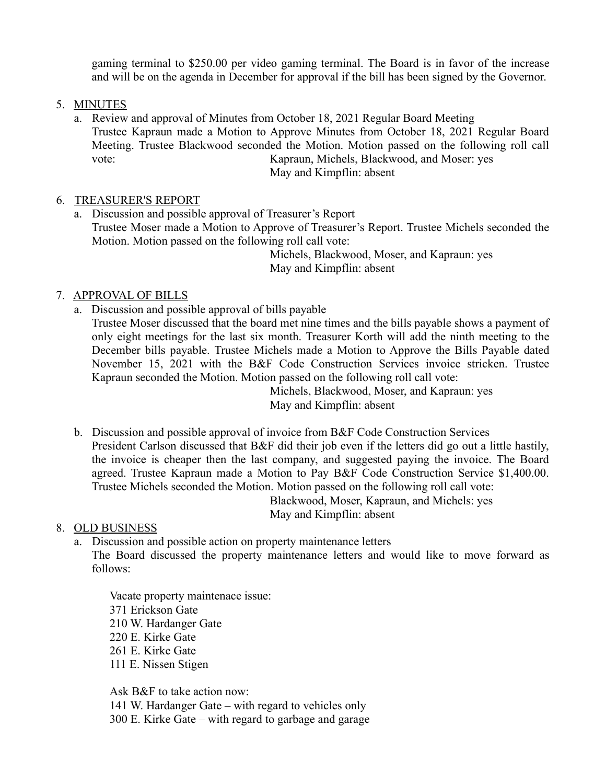gaming terminal to \$250.00 per video gaming terminal. The Board is in favor of the increase and will be on the agenda in December for approval if the bill has been signed by the Governor.

### 5. MINUTES

a. Review and approval of Minutes from October 18, 2021 Regular Board Meeting Trustee Kapraun made a Motion to Approve Minutes from October 18, 2021 Regular Board Meeting. Trustee Blackwood seconded the Motion. Motion passed on the following roll call vote: Kapraun, Michels, Blackwood, and Moser: yes

May and Kimpflin: absent

# 6. TREASURER'S REPORT

a. Discussion and possible approval of Treasurer's Report Trustee Moser made a Motion to Approve of Treasurer's Report. Trustee Michels seconded the Motion. Motion passed on the following roll call vote:

Michels, Blackwood, Moser, and Kapraun: yes May and Kimpflin: absent

# 7. APPROVAL OF BILLS

a. Discussion and possible approval of bills payable Trustee Moser discussed that the board met nine times and the bills payable shows a payment of only eight meetings for the last six month. Treasurer Korth will add the ninth meeting to the December bills payable. Trustee Michels made a Motion to Approve the Bills Payable dated November 15, 2021 with the B&F Code Construction Services invoice stricken. Trustee Kapraun seconded the Motion. Motion passed on the following roll call vote:

Michels, Blackwood, Moser, and Kapraun: yes May and Kimpflin: absent

b. Discussion and possible approval of invoice from B&F Code Construction Services President Carlson discussed that B&F did their job even if the letters did go out a little hastily, the invoice is cheaper then the last company, and suggested paying the invoice. The Board agreed. Trustee Kapraun made a Motion to Pay B&F Code Construction Service \$1,400.00. Trustee Michels seconded the Motion. Motion passed on the following roll call vote: Blackwood, Moser, Kapraun, and Michels: yes

May and Kimpflin: absent

# 8. OLD BUSINESS

a. Discussion and possible action on property maintenance letters The Board discussed the property maintenance letters and would like to move forward as follows:

Vacate property maintenace issue: 371 Erickson Gate 210 W. Hardanger Gate 220 E. Kirke Gate 261 E. Kirke Gate 111 E. Nissen Stigen

Ask B&F to take action now:

141 W. Hardanger Gate – with regard to vehicles only

300 E. Kirke Gate – with regard to garbage and garage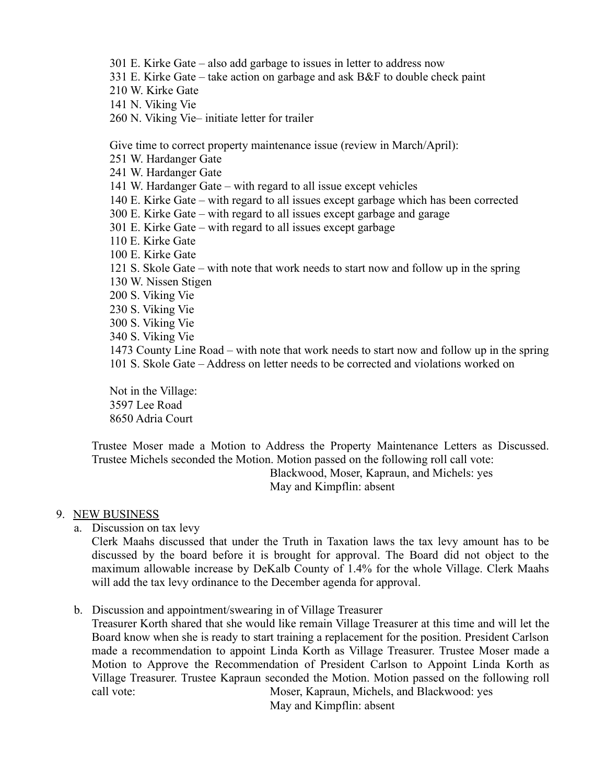- 301 E. Kirke Gate also add garbage to issues in letter to address now
- 331 E. Kirke Gate take action on garbage and ask B&F to double check paint
- 210 W. Kirke Gate
- 141 N. Viking Vie
- 260 N. Viking Vie– initiate letter for trailer

Give time to correct property maintenance issue (review in March/April):

251 W. Hardanger Gate

241 W. Hardanger Gate

141 W. Hardanger Gate – with regard to all issue except vehicles

- 140 E. Kirke Gate with regard to all issues except garbage which has been corrected
- 300 E. Kirke Gate with regard to all issues except garbage and garage
- 301 E. Kirke Gate with regard to all issues except garbage
- 110 E. Kirke Gate
- 100 E. Kirke Gate
- 121 S. Skole Gate with note that work needs to start now and follow up in the spring 130 W. Nissen Stigen
- 200 S. Viking Vie
- 230 S. Viking Vie
- 300 S. Viking Vie
- 340 S. Viking Vie
- 1473 County Line Road with note that work needs to start now and follow up in the spring 101 S. Skole Gate – Address on letter needs to be corrected and violations worked on

Not in the Village: 3597 Lee Road 8650 Adria Court

Trustee Moser made a Motion to Address the Property Maintenance Letters as Discussed. Trustee Michels seconded the Motion. Motion passed on the following roll call vote:

Blackwood, Moser, Kapraun, and Michels: yes May and Kimpflin: absent

### 9. NEW BUSINESS

a. Discussion on tax levy

Clerk Maahs discussed that under the Truth in Taxation laws the tax levy amount has to be discussed by the board before it is brought for approval. The Board did not object to the maximum allowable increase by DeKalb County of 1.4% for the whole Village. Clerk Maahs will add the tax levy ordinance to the December agenda for approval.

b. Discussion and appointment/swearing in of Village Treasurer

Treasurer Korth shared that she would like remain Village Treasurer at this time and will let the Board know when she is ready to start training a replacement for the position. President Carlson made a recommendation to appoint Linda Korth as Village Treasurer. Trustee Moser made a Motion to Approve the Recommendation of President Carlson to Appoint Linda Korth as Village Treasurer. Trustee Kapraun seconded the Motion. Motion passed on the following roll call vote: Moser, Kapraun, Michels, and Blackwood: yes May and Kimpflin: absent